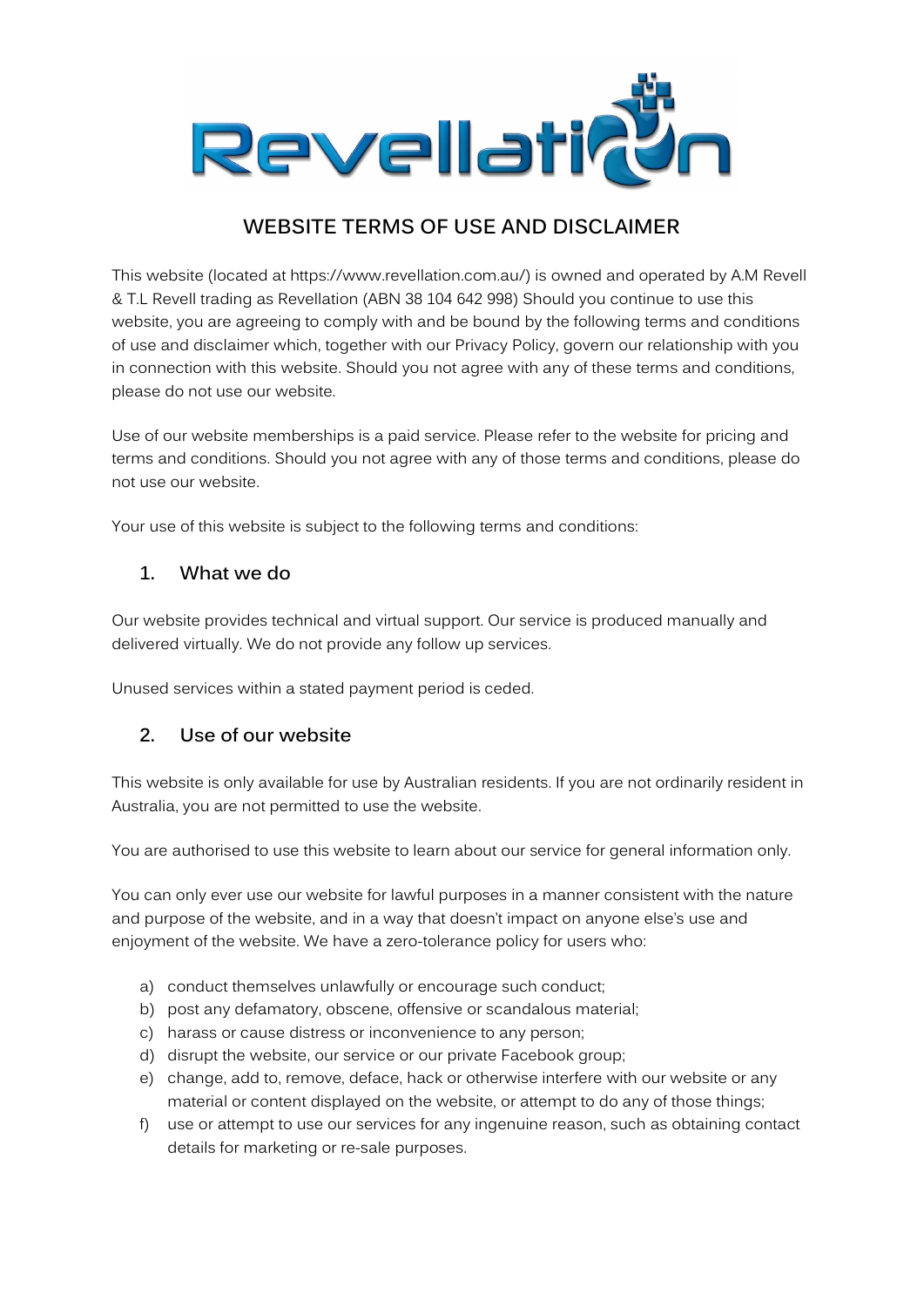

# WEBSITE TERMS OF USE AND DISCLAIMER

This website (located at https://www.revellation.com.au/) is owned and operated by A.M Revell & T.L Revell trading as Revellation (ABN 38 104 642 998) Should you continue to use this website, you are agreeing to comply with and be bound by the following terms and conditions of use and disclaimer which, together with our Privacy Policy, govern our relationship with you in connection with this website. Should you not agree with any of these terms and conditions, please do not use our website.

Use of our website memberships is a paid service. Please refer to the website for pricing and terms and conditions. Should you not agree with any of those terms and conditions, please do not use our website.

Your use of this website is subject to the following terms and conditions:

#### 1. What we do

Our website provides technical and virtual support. Our service is produced manually and delivered virtually. We do not provide any follow up services.

Unused services within a stated payment period is ceded.

#### 2. Use of our website

This website is only available for use by Australian residents. If you are not ordinarily resident in Australia, you are not permitted to use the website.

You are authorised to use this website to learn about our service for general information only.

You can only ever use our website for lawful purposes in a manner consistent with the nature and purpose of the website, and in a way that doesn't impact on anyone else's use and enjoyment of the website. We have a zero-tolerance policy for users who:

- a) conduct themselves unlawfully or encourage such conduct;
- b) post any defamatory, obscene, offensive or scandalous material;
- c) harass or cause distress or inconvenience to any person;
- d) disrupt the website, our service or our private Facebook group;
- e) change, add to, remove, deface, hack or otherwise interfere with our website or any material or content displayed on the website, or attempt to do any of those things;
- f) use or attempt to use our services for any ingenuine reason, such as obtaining contact details for marketing or re-sale purposes.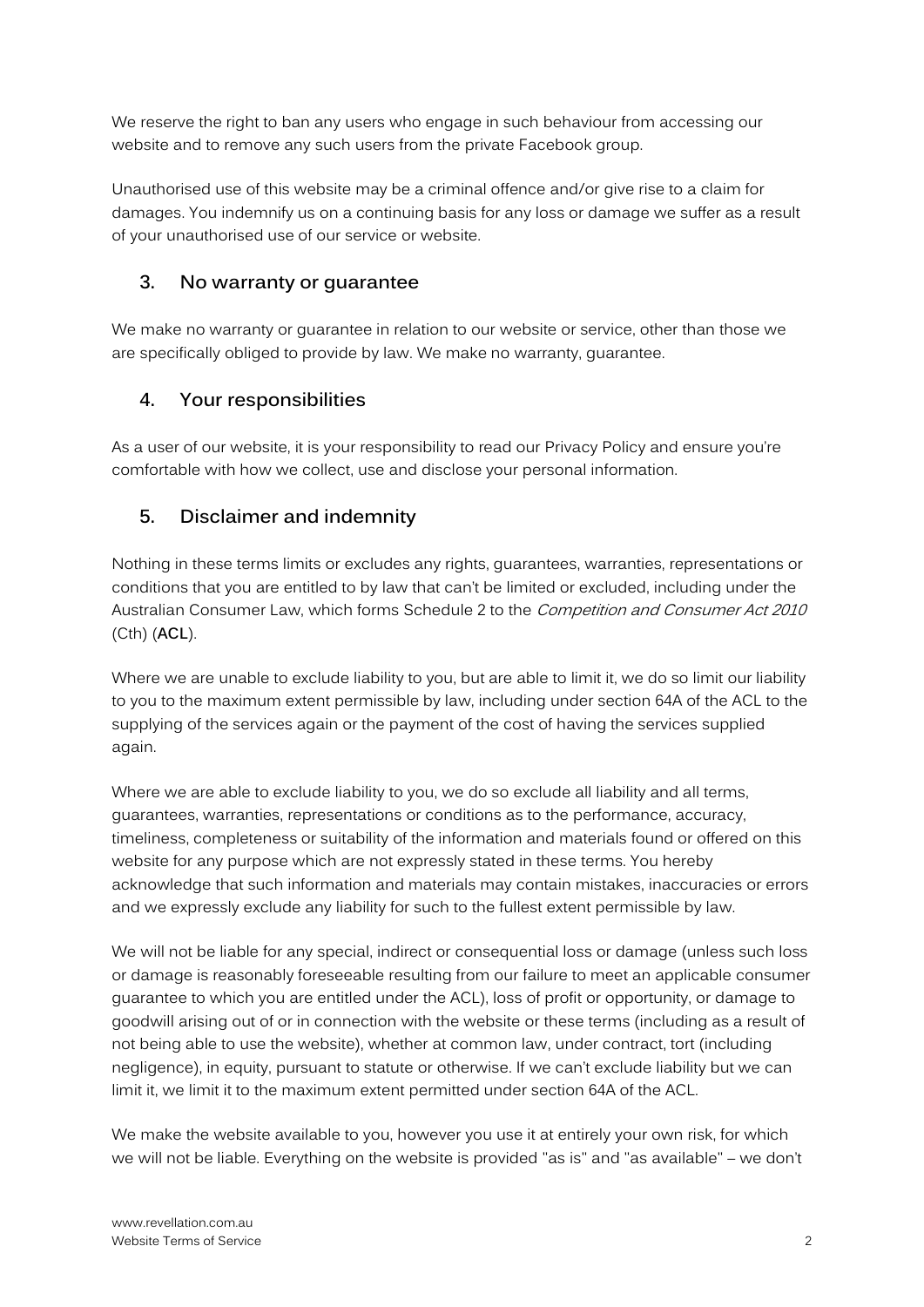We reserve the right to ban any users who engage in such behaviour from accessing our website and to remove any such users from the private Facebook group.

Unauthorised use of this website may be a criminal offence and/or give rise to a claim for damages. You indemnify us on a continuing basis for any loss or damage we suffer as a result of your unauthorised use of our service or website.

#### 3. No warranty or guarantee

We make no warranty or guarantee in relation to our website or service, other than those we are specifically obliged to provide by law. We make no warranty, guarantee.

#### 4. Your responsibilities

As a user of our website, it is your responsibility to read our Privacy Policy and ensure you're comfortable with how we collect, use and disclose your personal information.

### 5. Disclaimer and indemnity

Nothing in these terms limits or excludes any rights, guarantees, warranties, representations or conditions that you are entitled to by law that can't be limited or excluded, including under the Australian Consumer Law, which forms Schedule 2 to the *Competition and Consumer Act 2010* (Cth) (ACL).

Where we are unable to exclude liability to you, but are able to limit it, we do so limit our liability to you to the maximum extent permissible by law, including under section 64A of the ACL to the supplying of the services again or the payment of the cost of having the services supplied again.

Where we are able to exclude liability to you, we do so exclude all liability and all terms, guarantees, warranties, representations or conditions as to the performance, accuracy, timeliness, completeness or suitability of the information and materials found or offered on this website for any purpose which are not expressly stated in these terms. You hereby acknowledge that such information and materials may contain mistakes, inaccuracies or errors and we expressly exclude any liability for such to the fullest extent permissible by law.

We will not be liable for any special, indirect or consequential loss or damage (unless such loss or damage is reasonably foreseeable resulting from our failure to meet an applicable consumer guarantee to which you are entitled under the ACL), loss of profit or opportunity, or damage to goodwill arising out of or in connection with the website or these terms (including as a result of not being able to use the website), whether at common law, under contract, tort (including negligence), in equity, pursuant to statute or otherwise. If we can't exclude liability but we can limit it, we limit it to the maximum extent permitted under section 64A of the ACL.

We make the website available to you, however you use it at entirely your own risk, for which we will not be liable. Everything on the website is provided "as is" and "as available" – we don't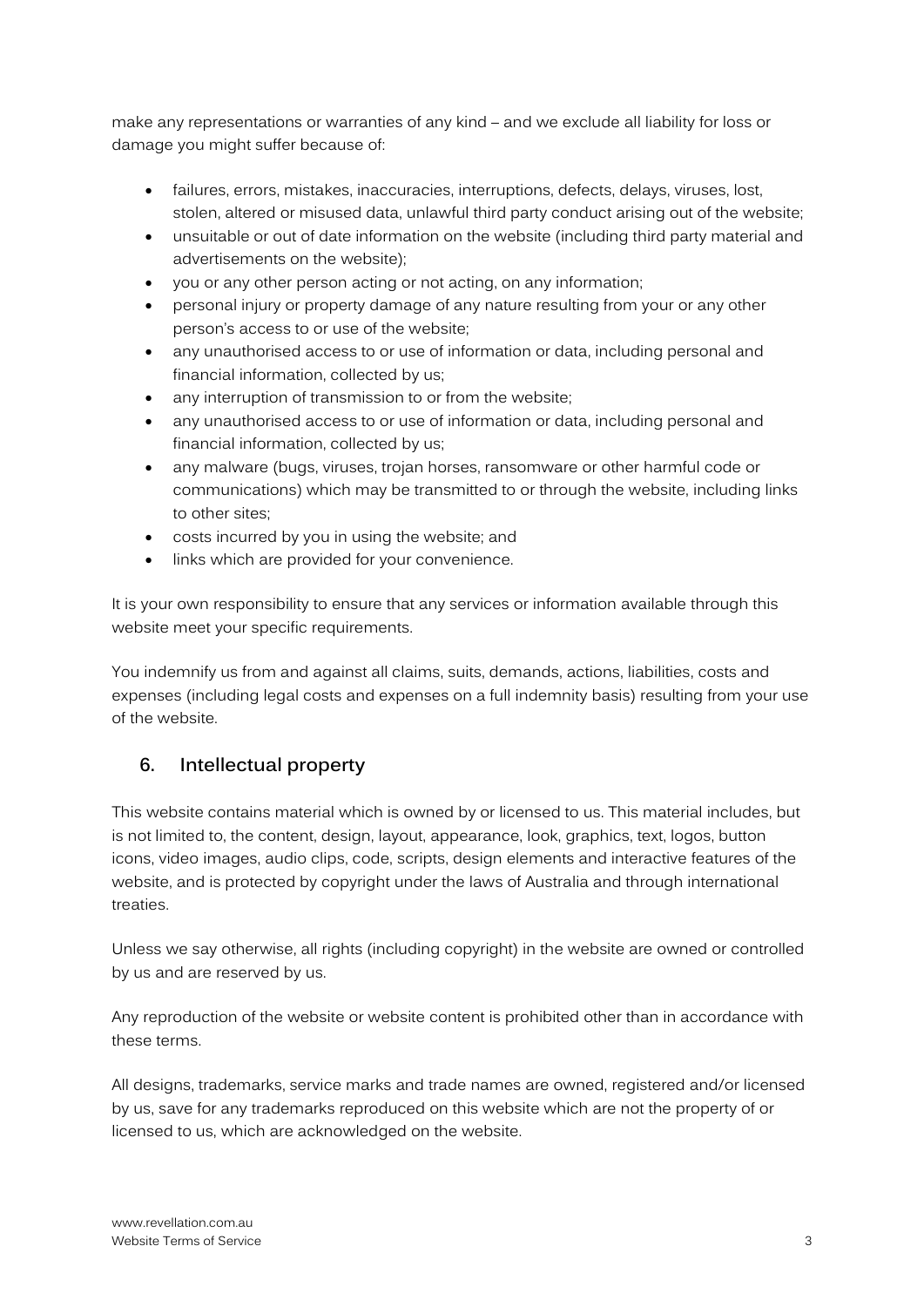make any representations or warranties of any kind – and we exclude all liability for loss or damage you might suffer because of:

- failures, errors, mistakes, inaccuracies, interruptions, defects, delays, viruses, lost, stolen, altered or misused data, unlawful third party conduct arising out of the website;
- unsuitable or out of date information on the website (including third party material and advertisements on the website);
- you or any other person acting or not acting, on any information;
- personal injury or property damage of any nature resulting from your or any other person's access to or use of the website;
- any unauthorised access to or use of information or data, including personal and financial information, collected by us;
- any interruption of transmission to or from the website;
- any unauthorised access to or use of information or data, including personal and financial information, collected by us;
- any malware (bugs, viruses, trojan horses, ransomware or other harmful code or communications) which may be transmitted to or through the website, including links to other sites;
- costs incurred by you in using the website; and
- links which are provided for your convenience.

It is your own responsibility to ensure that any services or information available through this website meet your specific requirements.

You indemnify us from and against all claims, suits, demands, actions, liabilities, costs and expenses (including legal costs and expenses on a full indemnity basis) resulting from your use of the website.

### 6. Intellectual property

This website contains material which is owned by or licensed to us. This material includes, but is not limited to, the content, design, layout, appearance, look, graphics, text, logos, button icons, video images, audio clips, code, scripts, design elements and interactive features of the website, and is protected by copyright under the laws of Australia and through international treaties.

Unless we say otherwise, all rights (including copyright) in the website are owned or controlled by us and are reserved by us.

Any reproduction of the website or website content is prohibited other than in accordance with these terms.

All designs, trademarks, service marks and trade names are owned, registered and/or licensed by us, save for any trademarks reproduced on this website which are not the property of or licensed to us, which are acknowledged on the website.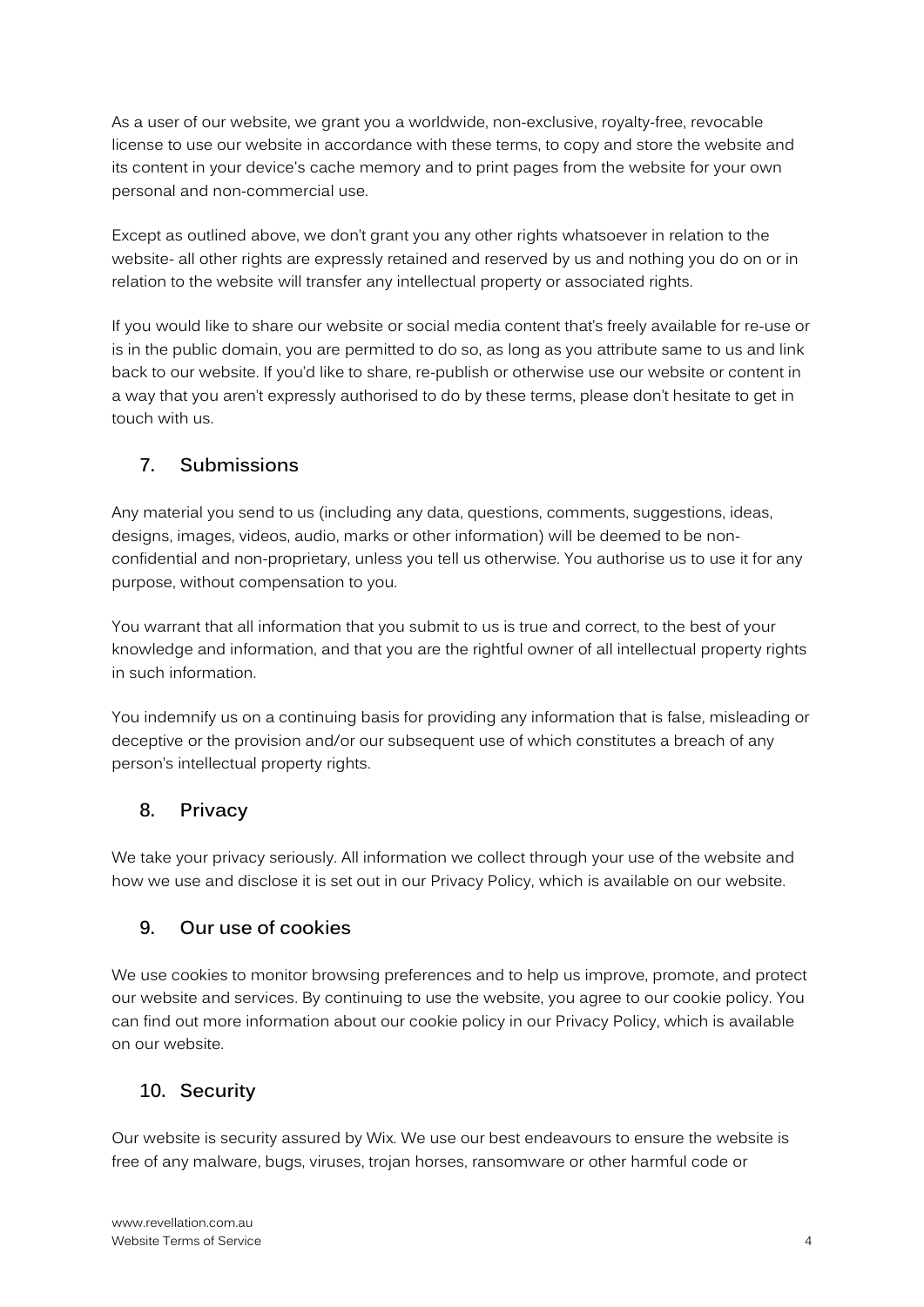As a user of our website, we grant you a worldwide, non-exclusive, royalty-free, revocable license to use our website in accordance with these terms, to copy and store the website and its content in your device's cache memory and to print pages from the website for your own personal and non-commercial use.

Except as outlined above, we don't grant you any other rights whatsoever in relation to the website- all other rights are expressly retained and reserved by us and nothing you do on or in relation to the website will transfer any intellectual property or associated rights.

If you would like to share our website or social media content that's freely available for re-use or is in the public domain, you are permitted to do so, as long as you attribute same to us and link back to our website. If you'd like to share, re-publish or otherwise use our website or content in a way that you aren't expressly authorised to do by these terms, please don't hesitate to get in touch with us.

### 7. Submissions

Any material you send to us (including any data, questions, comments, suggestions, ideas, designs, images, videos, audio, marks or other information) will be deemed to be nonconfidential and non-proprietary, unless you tell us otherwise. You authorise us to use it for any purpose, without compensation to you.

You warrant that all information that you submit to us is true and correct, to the best of your knowledge and information, and that you are the rightful owner of all intellectual property rights in such information.

You indemnify us on a continuing basis for providing any information that is false, misleading or deceptive or the provision and/or our subsequent use of which constitutes a breach of any person's intellectual property rights.

### 8. Privacy

We take your privacy seriously. All information we collect through your use of the website and how we use and disclose it is set out in our Privacy Policy, which is available on our website.

### 9. Our use of cookies

We use cookies to monitor browsing preferences and to help us improve, promote, and protect our website and services. By continuing to use the website, you agree to our cookie policy. You can find out more information about our cookie policy in our Privacy Policy, which is available on our website.

### 10. Security

Our website is security assured by Wix. We use our best endeavours to ensure the website is free of any malware, bugs, viruses, trojan horses, ransomware or other harmful code or